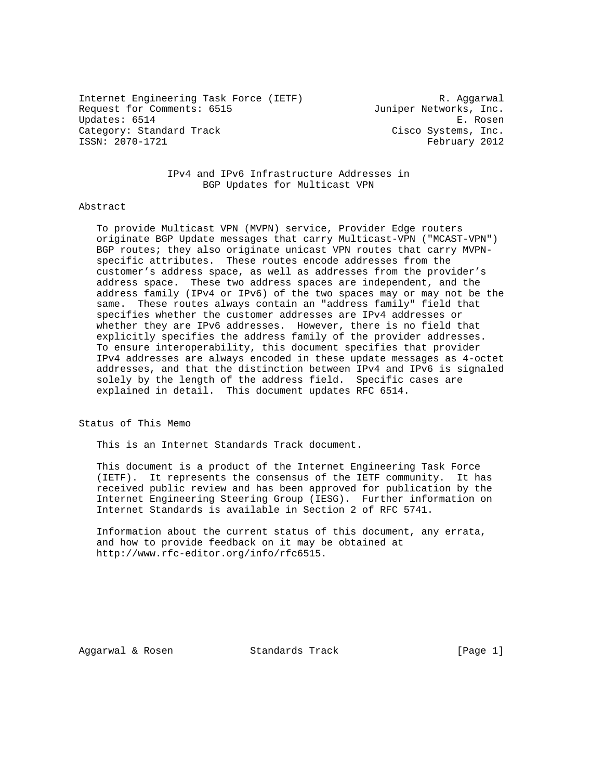Internet Engineering Task Force (IETF) The R. Aggarwal Request for Comments: 6515 Juniper Networks, Inc. Updates: 6514 E. Rosen Category: Standard Track Cisco Systems, Inc. ISSN: 2070-1721 February 2012

 IPv4 and IPv6 Infrastructure Addresses in BGP Updates for Multicast VPN

### Abstract

 To provide Multicast VPN (MVPN) service, Provider Edge routers originate BGP Update messages that carry Multicast-VPN ("MCAST-VPN") BGP routes; they also originate unicast VPN routes that carry MVPN specific attributes. These routes encode addresses from the customer's address space, as well as addresses from the provider's address space. These two address spaces are independent, and the address family (IPv4 or IPv6) of the two spaces may or may not be the same. These routes always contain an "address family" field that specifies whether the customer addresses are IPv4 addresses or whether they are IPv6 addresses. However, there is no field that explicitly specifies the address family of the provider addresses. To ensure interoperability, this document specifies that provider IPv4 addresses are always encoded in these update messages as 4-octet addresses, and that the distinction between IPv4 and IPv6 is signaled solely by the length of the address field. Specific cases are explained in detail. This document updates RFC 6514.

Status of This Memo

This is an Internet Standards Track document.

 This document is a product of the Internet Engineering Task Force (IETF). It represents the consensus of the IETF community. It has received public review and has been approved for publication by the Internet Engineering Steering Group (IESG). Further information on Internet Standards is available in Section 2 of RFC 5741.

 Information about the current status of this document, any errata, and how to provide feedback on it may be obtained at http://www.rfc-editor.org/info/rfc6515.

Aggarwal & Rosen Standards Track [Page 1]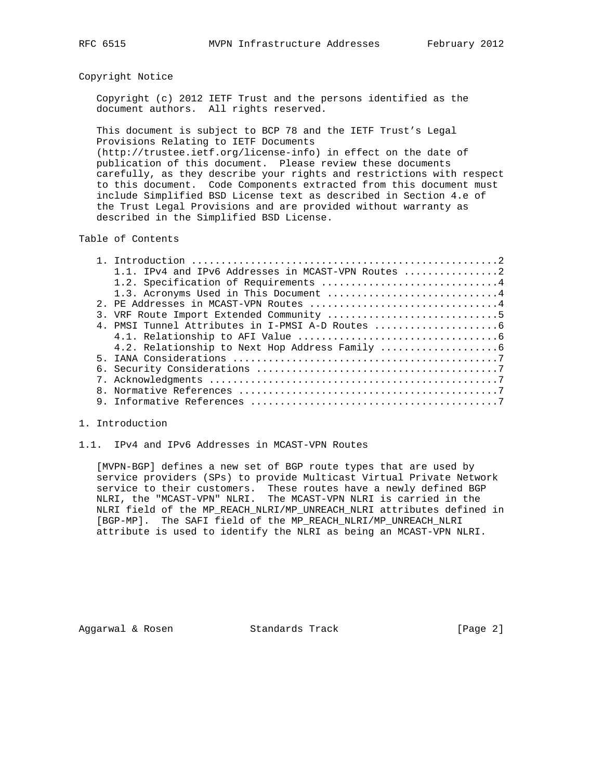### Copyright Notice

 Copyright (c) 2012 IETF Trust and the persons identified as the document authors. All rights reserved.

 This document is subject to BCP 78 and the IETF Trust's Legal Provisions Relating to IETF Documents (http://trustee.ietf.org/license-info) in effect on the date of

 publication of this document. Please review these documents carefully, as they describe your rights and restrictions with respect to this document. Code Components extracted from this document must include Simplified BSD License text as described in Section 4.e of the Trust Legal Provisions and are provided without warranty as described in the Simplified BSD License.

# Table of Contents

|  | 1.1. IPv4 and IPv6 Addresses in MCAST-VPN Routes |
|--|--------------------------------------------------|
|  |                                                  |
|  | 1.3. Acronyms Used in This Document 4            |
|  | 2. PE Addresses in MCAST-VPN Routes 4            |
|  |                                                  |
|  |                                                  |
|  |                                                  |
|  |                                                  |
|  |                                                  |
|  |                                                  |
|  |                                                  |
|  |                                                  |
|  |                                                  |
|  |                                                  |

### 1. Introduction

### 1.1. IPv4 and IPv6 Addresses in MCAST-VPN Routes

 [MVPN-BGP] defines a new set of BGP route types that are used by service providers (SPs) to provide Multicast Virtual Private Network service to their customers. These routes have a newly defined BGP NLRI, the "MCAST-VPN" NLRI. The MCAST-VPN NLRI is carried in the NLRI field of the MP\_REACH\_NLRI/MP\_UNREACH\_NLRI attributes defined in [BGP-MP]. The SAFI field of the MP\_REACH\_NLRI/MP\_UNREACH\_NLRI attribute is used to identify the NLRI as being an MCAST-VPN NLRI.

Aggarwal & Rosen Standards Track [Page 2]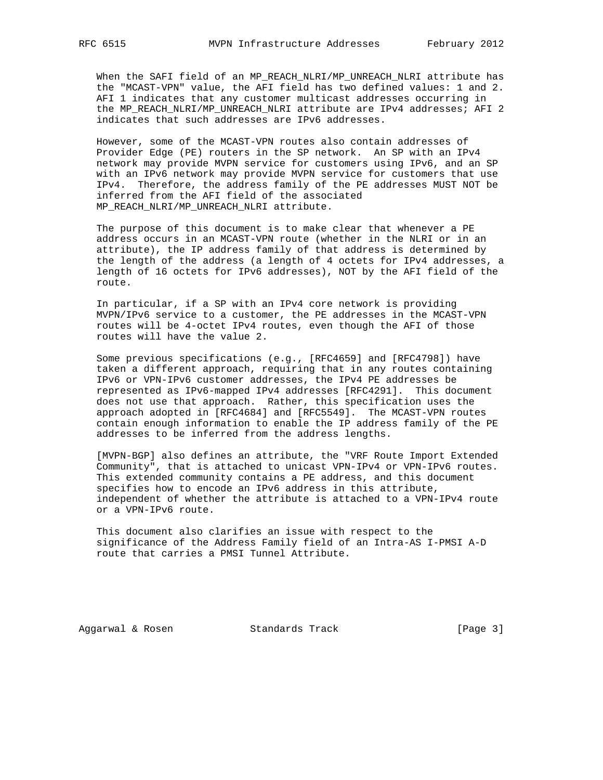When the SAFI field of an MP\_REACH\_NLRI/MP\_UNREACH\_NLRI attribute has the "MCAST-VPN" value, the AFI field has two defined values: 1 and 2. AFI 1 indicates that any customer multicast addresses occurring in the MP\_REACH\_NLRI/MP\_UNREACH\_NLRI attribute are IPv4 addresses; AFI 2 indicates that such addresses are IPv6 addresses.

 However, some of the MCAST-VPN routes also contain addresses of Provider Edge (PE) routers in the SP network. An SP with an IPv4 network may provide MVPN service for customers using IPv6, and an SP with an IPv6 network may provide MVPN service for customers that use IPv4. Therefore, the address family of the PE addresses MUST NOT be inferred from the AFI field of the associated MP\_REACH\_NLRI/MP\_UNREACH\_NLRI attribute.

 The purpose of this document is to make clear that whenever a PE address occurs in an MCAST-VPN route (whether in the NLRI or in an attribute), the IP address family of that address is determined by the length of the address (a length of 4 octets for IPv4 addresses, a length of 16 octets for IPv6 addresses), NOT by the AFI field of the route.

 In particular, if a SP with an IPv4 core network is providing MVPN/IPv6 service to a customer, the PE addresses in the MCAST-VPN routes will be 4-octet IPv4 routes, even though the AFI of those routes will have the value 2.

 Some previous specifications (e.g., [RFC4659] and [RFC4798]) have taken a different approach, requiring that in any routes containing IPv6 or VPN-IPv6 customer addresses, the IPv4 PE addresses be represented as IPv6-mapped IPv4 addresses [RFC4291]. This document does not use that approach. Rather, this specification uses the approach adopted in [RFC4684] and [RFC5549]. The MCAST-VPN routes contain enough information to enable the IP address family of the PE addresses to be inferred from the address lengths.

 [MVPN-BGP] also defines an attribute, the "VRF Route Import Extended Community", that is attached to unicast VPN-IPv4 or VPN-IPv6 routes. This extended community contains a PE address, and this document specifies how to encode an IPv6 address in this attribute, independent of whether the attribute is attached to a VPN-IPv4 route or a VPN-IPv6 route.

 This document also clarifies an issue with respect to the significance of the Address Family field of an Intra-AS I-PMSI A-D route that carries a PMSI Tunnel Attribute.

Aggarwal & Rosen Standards Track [Page 3]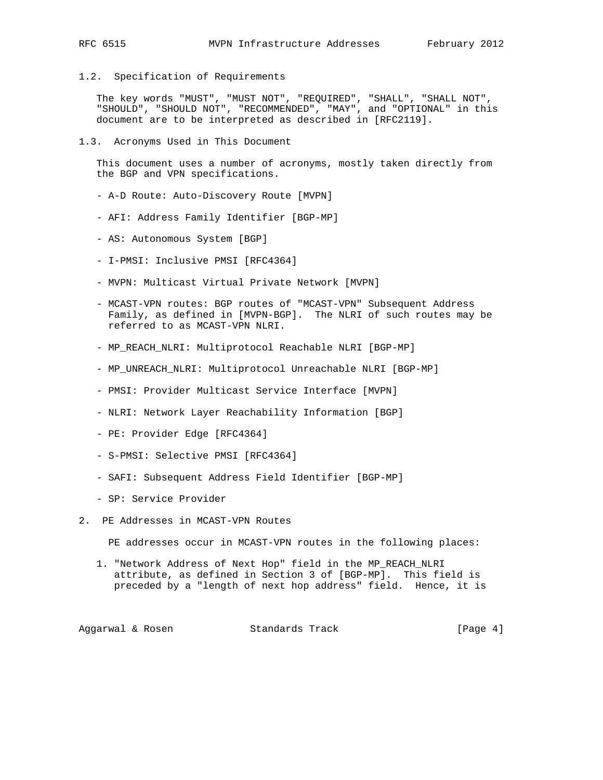1.2. Specification of Requirements

 The key words "MUST", "MUST NOT", "REQUIRED", "SHALL", "SHALL NOT", "SHOULD", "SHOULD NOT", "RECOMMENDED", "MAY", and "OPTIONAL" in this document are to be interpreted as described in [RFC2119].

1.3. Acronyms Used in This Document

 This document uses a number of acronyms, mostly taken directly from the BGP and VPN specifications.

- A-D Route: Auto-Discovery Route [MVPN]
- AFI: Address Family Identifier [BGP-MP]
- AS: Autonomous System [BGP]
- I-PMSI: Inclusive PMSI [RFC4364]
- MVPN: Multicast Virtual Private Network [MVPN]
- MCAST-VPN routes: BGP routes of "MCAST-VPN" Subsequent Address Family, as defined in [MVPN-BGP]. The NLRI of such routes may be referred to as MCAST-VPN NLRI.
- MP\_REACH\_NLRI: Multiprotocol Reachable NLRI [BGP-MP]
- MP\_UNREACH\_NLRI: Multiprotocol Unreachable NLRI [BGP-MP]
- PMSI: Provider Multicast Service Interface [MVPN]
- NLRI: Network Layer Reachability Information [BGP]
- PE: Provider Edge [RFC4364]
- S-PMSI: Selective PMSI [RFC4364]
- SAFI: Subsequent Address Field Identifier [BGP-MP]
- SP: Service Provider
- 2. PE Addresses in MCAST-VPN Routes

PE addresses occur in MCAST-VPN routes in the following places:

 1. "Network Address of Next Hop" field in the MP\_REACH\_NLRI attribute, as defined in Section 3 of [BGP-MP]. This field is preceded by a "length of next hop address" field. Hence, it is

Aggarwal & Rosen Standards Track [Page 4]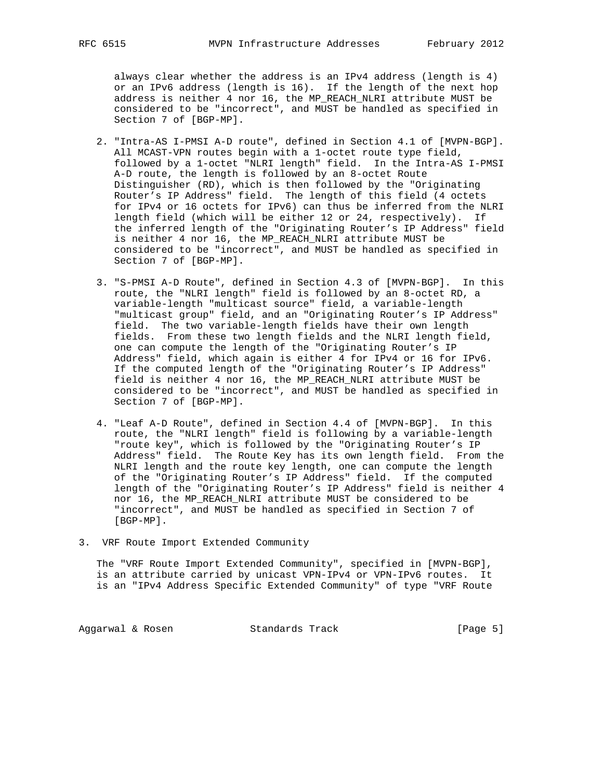always clear whether the address is an IPv4 address (length is 4) or an IPv6 address (length is 16). If the length of the next hop address is neither 4 nor 16, the MP\_REACH\_NLRI attribute MUST be considered to be "incorrect", and MUST be handled as specified in Section 7 of [BGP-MP].

- 2. "Intra-AS I-PMSI A-D route", defined in Section 4.1 of [MVPN-BGP]. All MCAST-VPN routes begin with a 1-octet route type field, followed by a 1-octet "NLRI length" field. In the Intra-AS I-PMSI A-D route, the length is followed by an 8-octet Route Distinguisher (RD), which is then followed by the "Originating Router's IP Address" field. The length of this field (4 octets for IPv4 or 16 octets for IPv6) can thus be inferred from the NLRI length field (which will be either 12 or 24, respectively). If the inferred length of the "Originating Router's IP Address" field is neither 4 nor 16, the MP\_REACH\_NLRI attribute MUST be considered to be "incorrect", and MUST be handled as specified in Section 7 of [BGP-MP].
- 3. "S-PMSI A-D Route", defined in Section 4.3 of [MVPN-BGP]. In this route, the "NLRI length" field is followed by an 8-octet RD, a variable-length "multicast source" field, a variable-length "multicast group" field, and an "Originating Router's IP Address" field. The two variable-length fields have their own length fields. From these two length fields and the NLRI length field, one can compute the length of the "Originating Router's IP Address" field, which again is either 4 for IPv4 or 16 for IPv6. If the computed length of the "Originating Router's IP Address" field is neither 4 nor 16, the MP\_REACH\_NLRI attribute MUST be considered to be "incorrect", and MUST be handled as specified in Section 7 of [BGP-MP].
- 4. "Leaf A-D Route", defined in Section 4.4 of [MVPN-BGP]. In this route, the "NLRI length" field is following by a variable-length "route key", which is followed by the "Originating Router's IP Address" field. The Route Key has its own length field. From the NLRI length and the route key length, one can compute the length of the "Originating Router's IP Address" field. If the computed length of the "Originating Router's IP Address" field is neither 4 nor 16, the MP\_REACH\_NLRI attribute MUST be considered to be "incorrect", and MUST be handled as specified in Section 7 of [BGP-MP].
- 3. VRF Route Import Extended Community

 The "VRF Route Import Extended Community", specified in [MVPN-BGP], is an attribute carried by unicast VPN-IPv4 or VPN-IPv6 routes. It is an "IPv4 Address Specific Extended Community" of type "VRF Route

Aggarwal & Rosen Standards Track [Page 5]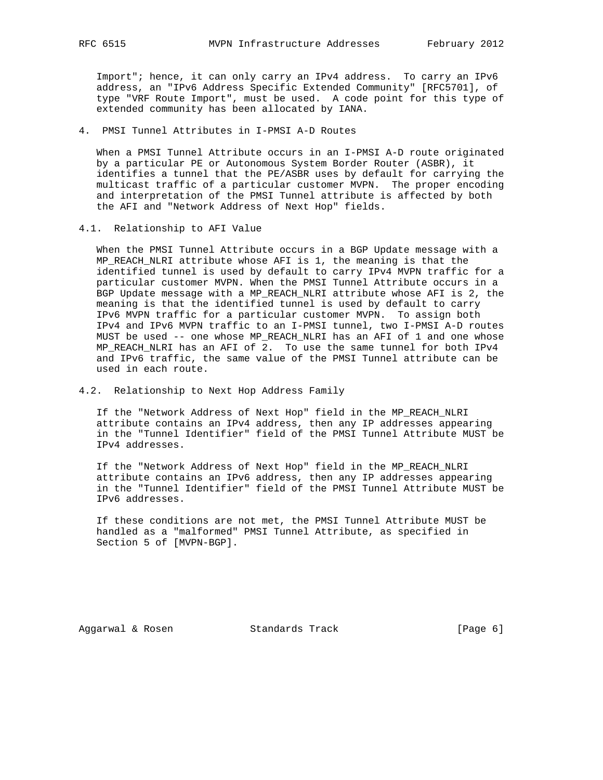Import"; hence, it can only carry an IPv4 address. To carry an IPv6 address, an "IPv6 Address Specific Extended Community" [RFC5701], of type "VRF Route Import", must be used. A code point for this type of extended community has been allocated by IANA.

4. PMSI Tunnel Attributes in I-PMSI A-D Routes

 When a PMSI Tunnel Attribute occurs in an I-PMSI A-D route originated by a particular PE or Autonomous System Border Router (ASBR), it identifies a tunnel that the PE/ASBR uses by default for carrying the multicast traffic of a particular customer MVPN. The proper encoding and interpretation of the PMSI Tunnel attribute is affected by both the AFI and "Network Address of Next Hop" fields.

4.1. Relationship to AFI Value

 When the PMSI Tunnel Attribute occurs in a BGP Update message with a MP\_REACH\_NLRI attribute whose AFI is 1, the meaning is that the identified tunnel is used by default to carry IPv4 MVPN traffic for a particular customer MVPN. When the PMSI Tunnel Attribute occurs in a BGP Update message with a MP\_REACH\_NLRI attribute whose AFI is 2, the meaning is that the identified tunnel is used by default to carry IPv6 MVPN traffic for a particular customer MVPN. To assign both IPv4 and IPv6 MVPN traffic to an I-PMSI tunnel, two I-PMSI A-D routes MUST be used -- one whose MP\_REACH\_NLRI has an AFI of 1 and one whose MP\_REACH\_NLRI has an AFI of 2. To use the same tunnel for both IPv4 and IPv6 traffic, the same value of the PMSI Tunnel attribute can be used in each route.

4.2. Relationship to Next Hop Address Family

 If the "Network Address of Next Hop" field in the MP\_REACH\_NLRI attribute contains an IPv4 address, then any IP addresses appearing in the "Tunnel Identifier" field of the PMSI Tunnel Attribute MUST be IPv4 addresses.

 If the "Network Address of Next Hop" field in the MP\_REACH\_NLRI attribute contains an IPv6 address, then any IP addresses appearing in the "Tunnel Identifier" field of the PMSI Tunnel Attribute MUST be IPv6 addresses.

 If these conditions are not met, the PMSI Tunnel Attribute MUST be handled as a "malformed" PMSI Tunnel Attribute, as specified in Section 5 of [MVPN-BGP].

Aggarwal & Rosen Standards Track [Page 6]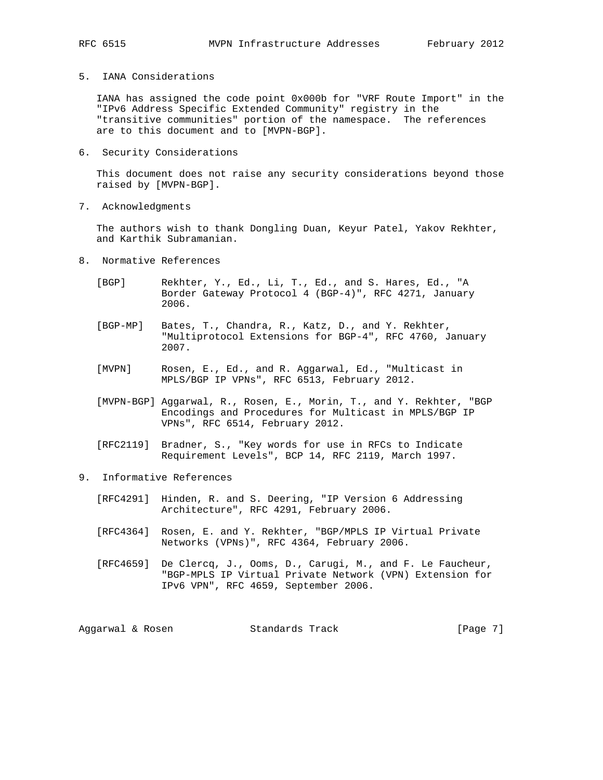# 5. IANA Considerations

 IANA has assigned the code point 0x000b for "VRF Route Import" in the "IPv6 Address Specific Extended Community" registry in the "transitive communities" portion of the namespace. The references are to this document and to [MVPN-BGP].

6. Security Considerations

 This document does not raise any security considerations beyond those raised by [MVPN-BGP].

7. Acknowledgments

 The authors wish to thank Dongling Duan, Keyur Patel, Yakov Rekhter, and Karthik Subramanian.

- 8. Normative References
	- [BGP] Rekhter, Y., Ed., Li, T., Ed., and S. Hares, Ed., "A Border Gateway Protocol 4 (BGP-4)", RFC 4271, January 2006.
	- [BGP-MP] Bates, T., Chandra, R., Katz, D., and Y. Rekhter, "Multiprotocol Extensions for BGP-4", RFC 4760, January 2007.
	- [MVPN] Rosen, E., Ed., and R. Aggarwal, Ed., "Multicast in MPLS/BGP IP VPNs", RFC 6513, February 2012.
	- [MVPN-BGP] Aggarwal, R., Rosen, E., Morin, T., and Y. Rekhter, "BGP Encodings and Procedures for Multicast in MPLS/BGP IP VPNs", RFC 6514, February 2012.
	- [RFC2119] Bradner, S., "Key words for use in RFCs to Indicate Requirement Levels", BCP 14, RFC 2119, March 1997.
- 9. Informative References
	- [RFC4291] Hinden, R. and S. Deering, "IP Version 6 Addressing Architecture", RFC 4291, February 2006.
	- [RFC4364] Rosen, E. and Y. Rekhter, "BGP/MPLS IP Virtual Private Networks (VPNs)", RFC 4364, February 2006.
	- [RFC4659] De Clercq, J., Ooms, D., Carugi, M., and F. Le Faucheur, "BGP-MPLS IP Virtual Private Network (VPN) Extension for IPv6 VPN", RFC 4659, September 2006.

Aggarwal & Rosen Standards Track [Page 7]